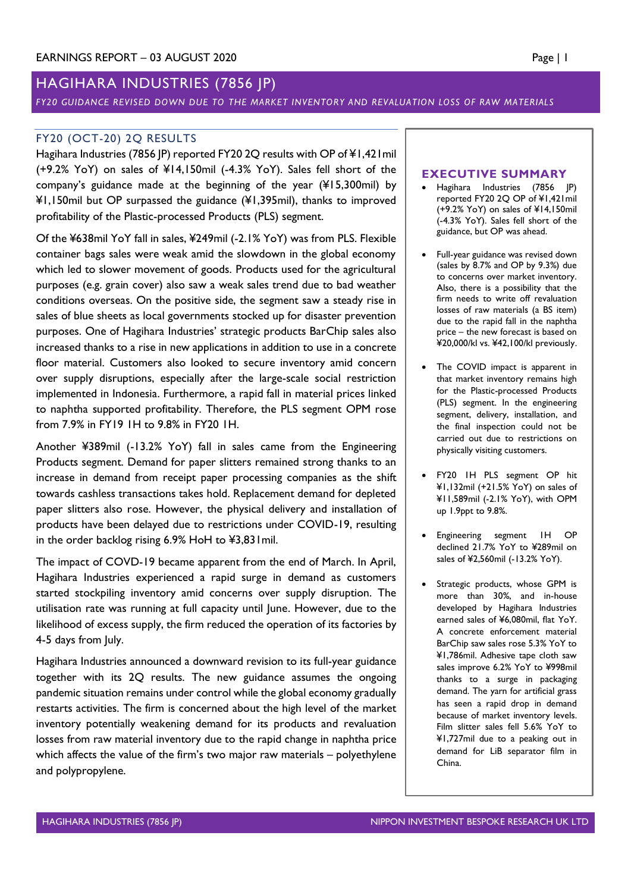# HAGIHARA INDUSTRIES (7856 JP)

#### *FY20 GUIDANCE REVISED DOWN DUE TO THE MARKET INVENTORY AND REVALUATION LOSS OF RAW MATERIALS*

### FY20 (OCT-20) 2Q RESULTS

Hagihara Industries (7856 JP) reported FY20 2Q results with OP of ¥1,421mil (+9.2% YoY) on sales of ¥14,150mil (-4.3% YoY). Sales fell short of the company's guidance made at the beginning of the year (¥15,300mil) by ¥1,150mil but OP surpassed the guidance (¥1,395mil), thanks to improved profitability of the Plastic-processed Products (PLS) segment.

Of the ¥638mil YoY fall in sales, ¥249mil (-2.1% YoY) was from PLS. Flexible container bags sales were weak amid the slowdown in the global economy which led to slower movement of goods. Products used for the agricultural purposes (e.g. grain cover) also saw a weak sales trend due to bad weather conditions overseas. On the positive side, the segment saw a steady rise in sales of blue sheets as local governments stocked up for disaster prevention purposes. One of Hagihara Industries' strategic products BarChip sales also increased thanks to a rise in new applications in addition to use in a concrete floor material. Customers also looked to secure inventory amid concern over supply disruptions, especially after the large-scale social restriction implemented in Indonesia. Furthermore, a rapid fall in material prices linked to naphtha supported profitability. Therefore, the PLS segment OPM rose from 7.9% in FY19 1H to 9.8% in FY20 1H.

Another ¥389mil (-13.2% YoY) fall in sales came from the Engineering Products segment. Demand for paper slitters remained strong thanks to an increase in demand from receipt paper processing companies as the shift towards cashless transactions takes hold. Replacement demand for depleted paper slitters also rose. However, the physical delivery and installation of products have been delayed due to restrictions under COVID-19, resulting in the order backlog rising 6.9% HoH to ¥3,831mil.

The impact of COVD-19 became apparent from the end of March. In April, Hagihara Industries experienced a rapid surge in demand as customers started stockpiling inventory amid concerns over supply disruption. The utilisation rate was running at full capacity until June. However, due to the likelihood of excess supply, the firm reduced the operation of its factories by 4-5 days from July.

Hagihara Industries announced a downward revision to its full-year guidance together with its 2Q results. The new guidance assumes the ongoing pandemic situation remains under control while the global economy gradually restarts activities. The firm is concerned about the high level of the market inventory potentially weakening demand for its products and revaluation losses from raw material inventory due to the rapid change in naphtha price which affects the value of the firm's two major raw materials – polyethylene and polypropylene.

#### **EXECUTIVE SUMMARY**

- Hagihara Industries (7856 JP) reported FY20 2Q OP of ¥1,421mil (+9.2% YoY) on sales of ¥14,150mil (-4.3% YoY). Sales fell short of the guidance, but OP was ahead.
- Full-year guidance was revised down (sales by 8.7% and OP by 9.3%) due to concerns over market inventory. Also, there is a possibility that the firm needs to write off revaluation losses of raw materials (a BS item) due to the rapid fall in the naphtha price – the new forecast is based on ¥20,000/kl vs. ¥42,100/kl previously.
- The COVID impact is apparent in that market inventory remains high for the Plastic-processed Products (PLS) segment. In the engineering segment, delivery, installation, and the final inspection could not be carried out due to restrictions on physically visiting customers.
- FY20 1H PLS segment OP hit ¥1,132mil (+21.5% YoY) on sales of ¥11,589mil (-2.1% YoY), with OPM up 1.9ppt to 9.8%.
- Engineering segment 1H OP declined 21.7% YoY to ¥289mil on sales of ¥2,560mil (-13.2% YoY).
- Strategic products, whose GPM is more than 30%, and in-house developed by Hagihara Industries earned sales of ¥6,080mil, flat YoY. A concrete enforcement material BarChip saw sales rose 5.3% YoY to ¥1,786mil. Adhesive tape cloth saw sales improve 6.2% YoY to ¥998mil thanks to a surge in packaging demand. The yarn for artificial grass has seen a rapid drop in demand because of market inventory levels. Film slitter sales fell 5.6% YoY to ¥1,727mil due to a peaking out in demand for LiB separator film in China.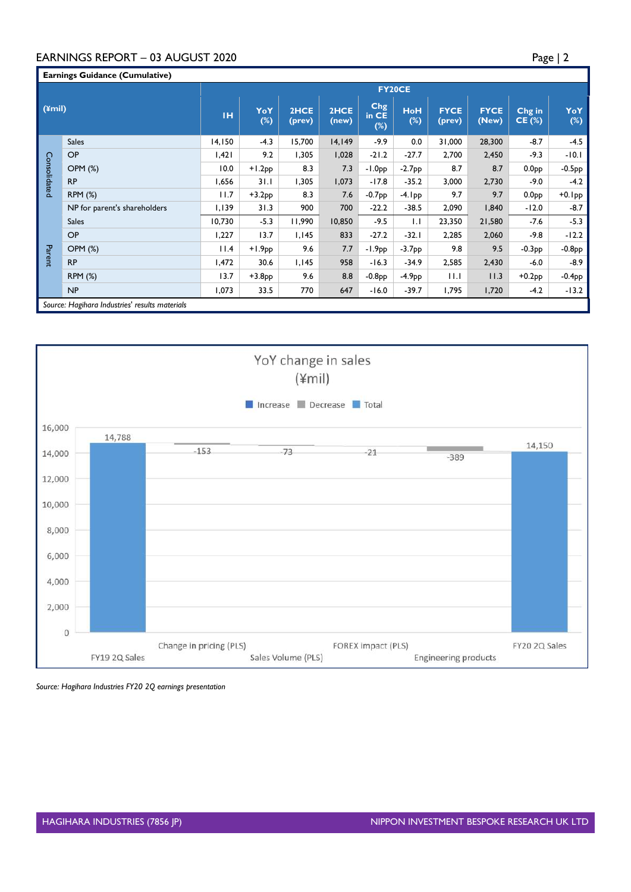## EARNINGS REPORT – 03 AUGUST 2020 Page | 2

| <b>Earnings Guidance (Cumulative)</b> |                                                |        |            |                |               |                               |                      |                       |                      |                    |               |  |  |
|---------------------------------------|------------------------------------------------|--------|------------|----------------|---------------|-------------------------------|----------------------|-----------------------|----------------------|--------------------|---------------|--|--|
|                                       |                                                | FY20CE |            |                |               |                               |                      |                       |                      |                    |               |  |  |
| $(4$ mil)                             |                                                | TH.    | YoY<br>(%) | 2HCE<br>(prev) | 2HCE<br>(new) | <b>Chg</b><br>in CE<br>$(\%)$ | <b>HoH</b><br>$(\%)$ | <b>FYCE</b><br>(prev) | <b>FYCE</b><br>(New) | Chg in<br>$CE$ (%) | YoY<br>$(\%)$ |  |  |
| Consolidated                          | <b>Sales</b>                                   | 14,150 | $-4.3$     | 15,700         | 14, 149       | -9.9                          | 0.0                  | 31,000                | 28,300               | $-8.7$             | $-4.5$        |  |  |
|                                       | OP                                             | 1,421  | 9.2        | 1,305          | 1,028         | $-21.2$                       | $-27.7$              | 2,700                 | 2,450                | $-9.3$             | $-10.1$       |  |  |
|                                       | OPM (%)                                        | 10.0   | $+1.2PP$   | 8.3            | 7.3           | $-1.0PP$                      | $-2.7PP$             | 8.7                   | 8.7                  | 0.0 <sub>PP</sub>  | $-0.5PP$      |  |  |
|                                       | <b>RP</b>                                      | 1,656  | 3 I . I    | 1,305          | 1,073         | $-17.8$                       | $-35.2$              | 3,000                 | 2,730                | $-9.0$             | $-4.2$        |  |  |
|                                       | <b>RPM (%)</b>                                 | 11.7   | $+3.2PP$   | 8.3            | 7.6           | $-0.7PP$                      | $-4$ . Ipp           | 9.7                   | 9.7                  | 0.0 <sub>PP</sub>  | $+0.1$ pp     |  |  |
|                                       | NP for parent's shareholders                   | 1,139  | 31.3       | 900            | 700           | $-22.2$                       | $-38.5$              | 2,090                 | 1,840                | $-12.0$            | $-8.7$        |  |  |
| Parent                                | <b>Sales</b>                                   | 10,730 | $-5.3$     | 11,990         | 10,850        | $-9.5$                        | 1.1                  | 23,350                | 21,580               | $-7.6$             | $-5.3$        |  |  |
|                                       | OP                                             | 1,227  | 13.7       | 1,145          | 833           | $-27.2$                       | $-32.1$              | 2,285                 | 2,060                | $-9.8$             | $-12.2$       |  |  |
|                                       | <b>OPM (%)</b>                                 | 11.4   | $+1.9pp$   | 9.6            | 7.7           | $-1.9PP$                      | $-3.7PP$             | 9.8                   | 9.5                  | $-0.3PP$           | $-0.8PP$      |  |  |
|                                       | <b>RP</b>                                      | 1,472  | 30.6       | 1,145          | 958           | $-16.3$                       | $-34.9$              | 2,585                 | 2,430                | $-6.0$             | $-8.9$        |  |  |
|                                       | <b>RPM (%)</b>                                 | 13.7   | $+3.8pp$   | 9.6            | 8.8           | $-0.8PP$                      | $-4.9PP$             | 11.1                  | 11.3                 | $+0.2$ pp          | $-0.4$ pp     |  |  |
|                                       | NP                                             | 1,073  | 33.5       | 770            | 647           | $-16.0$                       | $-39.7$              | 1,795                 | 1,720                | $-4.2$             | $-13.2$       |  |  |
|                                       | Source: Hagihara Industries' results materials |        |            |                |               |                               |                      |                       |                      |                    |               |  |  |



*Source: Hagihara Industries FY20 2Q earnings presentation*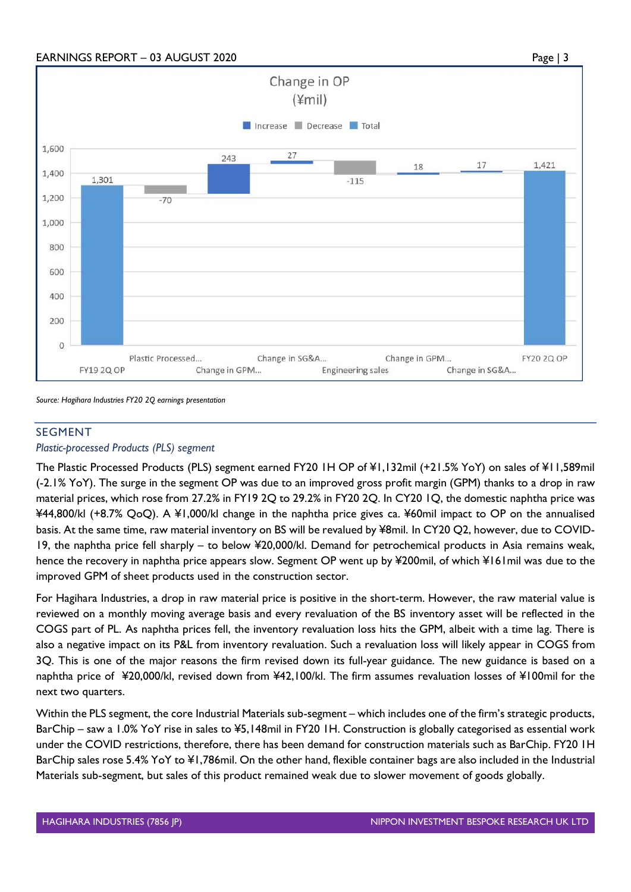

*Source: Hagihara Industries FY20 2Q earnings presentation*

#### SEGMENT

#### *Plastic-processed Products (PLS) segment*

The Plastic Processed Products (PLS) segment earned FY20 1H OP of ¥1,132mil (+21.5% YoY) on sales of ¥11,589mil (-2.1% YoY). The surge in the segment OP was due to an improved gross profit margin (GPM) thanks to a drop in raw material prices, which rose from 27.2% in FY19 2Q to 29.2% in FY20 2Q. In CY20 1Q, the domestic naphtha price was ¥44,800/kl (+8.7% QoQ). A ¥1,000/kl change in the naphtha price gives ca. ¥60mil impact to OP on the annualised basis. At the same time, raw material inventory on BS will be revalued by ¥8mil. In CY20 Q2, however, due to COVID-19, the naphtha price fell sharply – to below ¥20,000/kl. Demand for petrochemical products in Asia remains weak, hence the recovery in naphtha price appears slow. Segment OP went up by ¥200mil, of which ¥161mil was due to the improved GPM of sheet products used in the construction sector.

For Hagihara Industries, a drop in raw material price is positive in the short-term. However, the raw material value is reviewed on a monthly moving average basis and every revaluation of the BS inventory asset will be reflected in the COGS part of PL. As naphtha prices fell, the inventory revaluation loss hits the GPM, albeit with a time lag. There is also a negative impact on its P&L from inventory revaluation. Such a revaluation loss will likely appear in COGS from 3Q. This is one of the major reasons the firm revised down its full-year guidance. The new guidance is based on a naphtha price of ¥20,000/kl, revised down from ¥42,100/kl. The firm assumes revaluation losses of ¥100mil for the next two quarters.

Within the PLS segment, the core Industrial Materials sub-segment – which includes one of the firm's strategic products, BarChip – saw a 1.0% YoY rise in sales to ¥5,148mil in FY20 1H. Construction is globally categorised as essential work under the COVID restrictions, therefore, there has been demand for construction materials such as BarChip. FY20 1H BarChip sales rose 5.4% YoY to ¥1,786mil. On the other hand, flexible container bags are also included in the Industrial Materials sub-segment, but sales of this product remained weak due to slower movement of goods globally.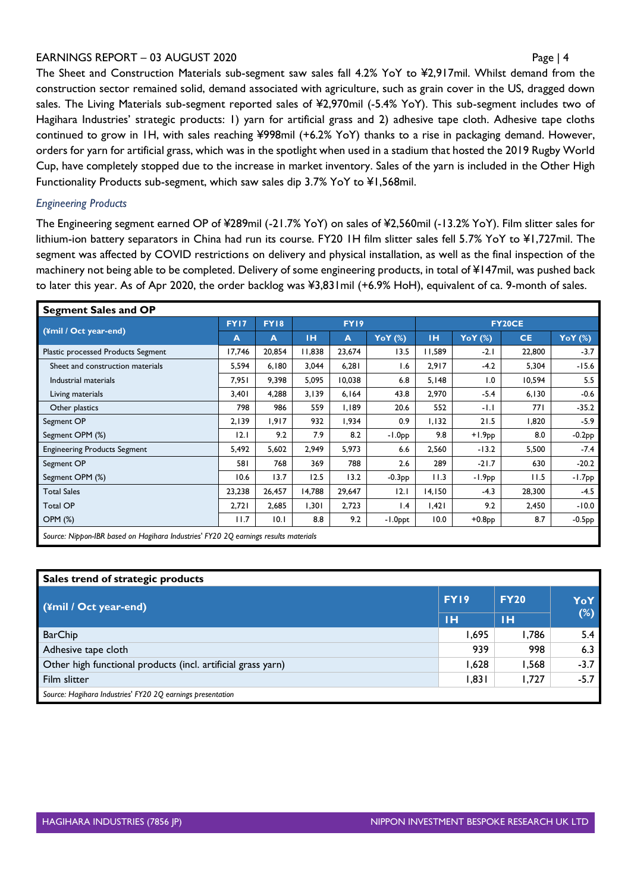#### EARNINGS REPORT – 03 AUGUST 2020 Page | 4

The Sheet and Construction Materials sub-segment saw sales fall 4.2% YoY to ¥2,917mil. Whilst demand from the construction sector remained solid, demand associated with agriculture, such as grain cover in the US, dragged down sales. The Living Materials sub-segment reported sales of ¥2,970mil (-5.4% YoY). This sub-segment includes two of Hagihara Industries' strategic products: 1) yarn for artificial grass and 2) adhesive tape cloth. Adhesive tape cloths continued to grow in 1H, with sales reaching ¥998mil (+6.2% YoY) thanks to a rise in packaging demand. However, orders for yarn for artificial grass, which was in the spotlight when used in a stadium that hosted the 2019 Rugby World Cup, have completely stopped due to the increase in market inventory. Sales of the yarn is included in the Other High Functionality Products sub-segment, which saw sales dip 3.7% YoY to ¥1,568mil.

## *Engineering Products*

The Engineering segment earned OP of ¥289mil (-21.7% YoY) on sales of ¥2,560mil (-13.2% YoY). Film slitter sales for lithium-ion battery separators in China had run its course. FY20 1H film slitter sales fell 5.7% YoY to ¥1,727mil. The segment was affected by COVID restrictions on delivery and physical installation, as well as the final inspection of the machinery not being able to be completed. Delivery of some engineering products, in total of ¥147mil, was pushed back to later this year. As of Apr 2020, the order backlog was ¥3,831mil (+6.9% HoH), equivalent of ca. 9-month of sales.

| <b>Segment Sales and OP</b>                                                         |        |             |        |        |          |               |                |           |                |  |
|-------------------------------------------------------------------------------------|--------|-------------|--------|--------|----------|---------------|----------------|-----------|----------------|--|
|                                                                                     | FY17   | <b>FY18</b> | FY19   |        |          | <b>FY20CE</b> |                |           |                |  |
| (¥mil / Oct year-end)                                                               | A      | A           | IН     | A      | YoY (%)  | <b>IH</b>     | <b>YoY</b> (%) | <b>CE</b> | <b>YoY</b> (%) |  |
| Plastic processed Products Segment                                                  | 17,746 | 20,854      | 11,838 | 23,674 | 13.5     | I I,589       | $-2.1$         | 22,800    | $-3.7$         |  |
| Sheet and construction materials                                                    | 5,594  | 6,180       | 3,044  | 6,281  | 1.6      | 2,917         | $-4.2$         | 5,304     | $-15.6$        |  |
| Industrial materials                                                                | 7,951  | 9,398       | 5,095  | 10,038 | 6.8      | 5,148         | 1.0            | 10,594    | 5.5            |  |
| Living materials                                                                    | 3,401  | 4,288       | 3,139  | 6,164  | 43.8     | 2,970         | $-5.4$         | 6,130     | $-0.6$         |  |
| Other plastics                                                                      | 798    | 986         | 559    | 1,189  | 20.6     | 552           | $-1.1$         | 771       | $-35.2$        |  |
| Segment OP                                                                          | 2,139  | 1,917       | 932    | 1,934  | 0.9      | 1,132         | 21.5           | 1,820     | $-5.9$         |  |
| Segment OPM (%)                                                                     | 12.1   | 9.2         | 7.9    | 8.2    | $-1.0PP$ | 9.8           | $+1.9PP$       | 8.0       | $-0.2PP$       |  |
| <b>Engineering Products Segment</b>                                                 | 5,492  | 5,602       | 2,949  | 5,973  | 6.6      | 2,560         | $-13.2$        | 5,500     | $-7.4$         |  |
| Segment OP                                                                          | 581    | 768         | 369    | 788    | 2.6      | 289           | $-21.7$        | 630       | $-20.2$        |  |
| Segment OPM (%)                                                                     | 10.6   | 13.7        | 12.5   | 13.2   | $-0.3PP$ | 11.3          | $-1.9PP$       | 11.5      | $-1.7PP$       |  |
| <b>Total Sales</b>                                                                  | 23,238 | 26,457      | 14,788 | 29,647 | 12.1     | 14,150        | $-4.3$         | 28,300    | $-4.5$         |  |
| <b>Total OP</b>                                                                     | 2,721  | 2,685       | 1,301  | 2,723  | 1.4      | 1,421         | 9.2            | 2,450     | $-10.0$        |  |
| OPM (%)                                                                             | 11.7   | 10.1        | 8.8    | 9.2    | -1.0ppt  | 10.0          | $+0.8PP$       | 8.7       | $-0.5PP$       |  |
| Source: Nippon-IBR based on Hagihara Industries' FY20 2Q earnings results materials |        |             |        |        |          |               |                |           |                |  |

| Sales trend of strategic products                            |       |             |        |  |  |  |  |  |
|--------------------------------------------------------------|-------|-------------|--------|--|--|--|--|--|
| (¥mil / Oct year-end)                                        |       | <b>FY20</b> | YoY    |  |  |  |  |  |
|                                                              | тн    | тн          | (%)    |  |  |  |  |  |
| <b>BarChip</b>                                               | 1,695 | 1.786       | 5.4    |  |  |  |  |  |
| Adhesive tape cloth                                          | 939   | 998         | 6.3    |  |  |  |  |  |
| Other high functional products (incl. artificial grass yarn) | 1,628 | 1,568       | $-3.7$ |  |  |  |  |  |
| Film slitter                                                 | 1,831 | 1,727       | $-5.7$ |  |  |  |  |  |
| Source: Hagihara Industries' FY20 2Q earnings presentation   |       |             |        |  |  |  |  |  |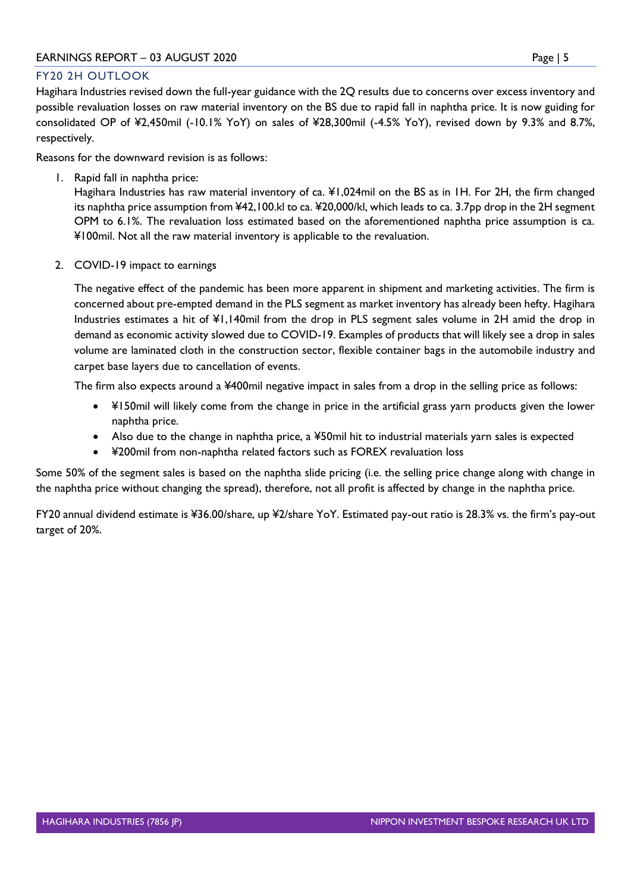## FY20 2H OUTLOOK

Hagihara Industries revised down the full-year guidance with the 2Q results due to concerns over excess inventory and possible revaluation losses on raw material inventory on the BS due to rapid fall in naphtha price. It is now guiding for consolidated OP of ¥2,450mil (-10.1% YoY) on sales of ¥28,300mil (-4.5% YoY), revised down by 9.3% and 8.7%, respectively.

Reasons for the downward revision is as follows:

1. Rapid fall in naphtha price:

Hagihara Industries has raw material inventory of ca. ¥1,024mil on the BS as in 1H. For 2H, the firm changed its naphtha price assumption from ¥42,100.kl to ca. ¥20,000/kl, which leads to ca. 3.7pp drop in the 2H segment OPM to 6.1%. The revaluation loss estimated based on the aforementioned naphtha price assumption is ca. ¥100mil. Not all the raw material inventory is applicable to the revaluation.

2. COVID-19 impact to earnings

The negative effect of the pandemic has been more apparent in shipment and marketing activities. The firm is concerned about pre-empted demand in the PLS segment as market inventory has already been hefty. Hagihara Industries estimates a hit of ¥1,140mil from the drop in PLS segment sales volume in 2H amid the drop in demand as economic activity slowed due to COVID-19. Examples of products that will likely see a drop in sales volume are laminated cloth in the construction sector, flexible container bags in the automobile industry and carpet base layers due to cancellation of events.

The firm also expects around a ¥400mil negative impact in sales from a drop in the selling price as follows:

- ¥150mil will likely come from the change in price in the artificial grass yarn products given the lower naphtha price.
- Also due to the change in naphtha price, a ¥50mil hit to industrial materials yarn sales is expected
- ¥200mil from non-naphtha related factors such as FOREX revaluation loss

Some 50% of the segment sales is based on the naphtha slide pricing (i.e. the selling price change along with change in the naphtha price without changing the spread), therefore, not all profit is affected by change in the naphtha price.

FY20 annual dividend estimate is ¥36.00/share, up ¥2/share YoY. Estimated pay-out ratio is 28.3% vs. the firm's pay-out target of 20%.